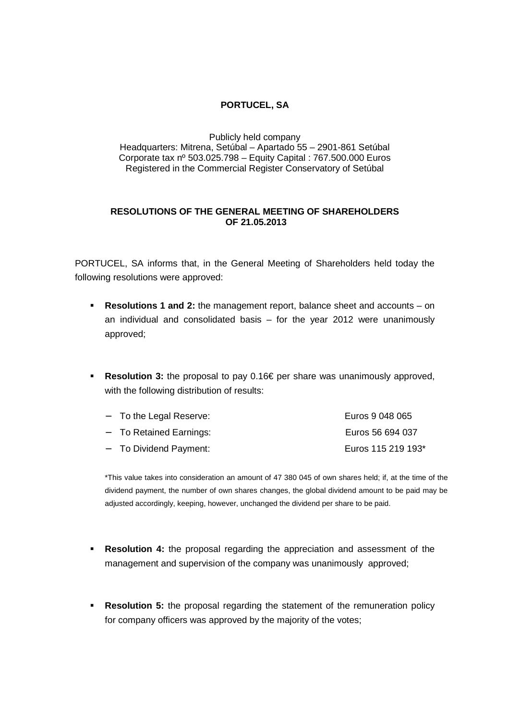## **PORTUCEL, SA**

Publicly held company Headquarters: Mitrena, Setúbal – Apartado 55 – 2901-861 Setúbal Corporate tax nº 503.025.798 – Equity Capital : 767.500.000 Euros Registered in the Commercial Register Conservatory of Setúbal

## **RESOLUTIONS OF THE GENERAL MEETING OF SHAREHOLDERS OF 21.05.2013**

PORTUCEL, SA informs that, in the General Meeting of Shareholders held today the following resolutions were approved:

- **Resolutions 1 and 2:** the management report, balance sheet and accounts on an individual and consolidated basis – for the year 2012 were unanimously approved;
- **Resolution 3:** the proposal to pay 0.16€ per share was unanimously approved, with the following distribution of results:

| $-$ To the Legal Reserve: | Euros 9 048 065    |
|---------------------------|--------------------|
| - To Retained Earnings:   | Euros 56 694 037   |
| - To Dividend Payment:    | Euros 115 219 193* |

\*This value takes into consideration an amount of 47 380 045 of own shares held; if, at the time of the dividend payment, the number of own shares changes, the global dividend amount to be paid may be adjusted accordingly, keeping, however, unchanged the dividend per share to be paid.

- **Resolution 4:** the proposal regarding the appreciation and assessment of the management and supervision of the company was unanimously approved;
- **Resolution 5:** the proposal regarding the statement of the remuneration policy for company officers was approved by the majority of the votes;